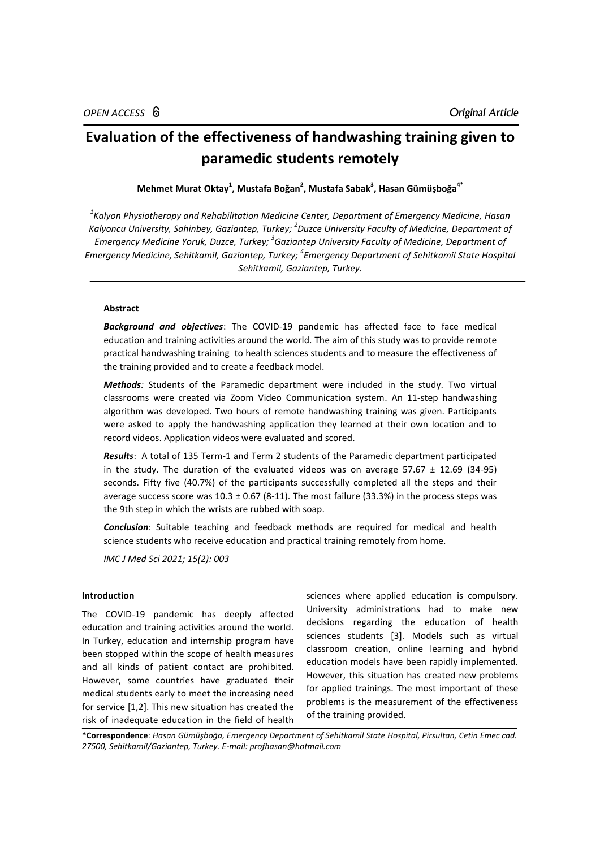# **Evaluation of the effectiveness of handwashing training given to paramedic students remotely**

**Mehmet Murat Oktay<sup>1</sup> , Mustafa Boğan<sup>2</sup> , Mustafa Sabak<sup>3</sup> , Hasan Gümüşboğa4\***

*1 Kalyon Physiotherapy and Rehabilitation Medicine Center, Department of Emergency Medicine, Hasan Kalyoncu University, Sahinbey, Gaziantep, Turkey; 2 Duzce University Faculty of Medicine, Department of Emergency Medicine Yoruk, Duzce, Turkey; 3 Gaziantep University Faculty of Medicine, Department of Emergency Medicine, Sehitkamil, Gaziantep, Turkey; 4 Emergency Department of Sehitkamil State Hospital Sehitkamil, Gaziantep, Turkey.*

# **Abstract**

*Background and objectives*: The COVID-19 pandemic has affected face to face medical education and training activities around the world. The aim of this study was to provide remote practical handwashing training to health sciences students and to measure the effectiveness of the training provided and to create a feedback model.

*Methods:* Students of the Paramedic department were included in the study. Two virtual classrooms were created via Zoom Video Communication system. An 11-step handwashing algorithm was developed. Two hours of remote handwashing training was given. Participants were asked to apply the handwashing application they learned at their own location and to record videos. Application videos were evaluated and scored.

*Results*: A total of 135 Term-1 and Term 2 students of the Paramedic department participated in the study. The duration of the evaluated videos was on average  $57.67 \pm 12.69$  (34-95) seconds. Fifty five (40.7%) of the participants successfully completed all the steps and their average success score was  $10.3 \pm 0.67$  (8-11). The most failure (33.3%) in the process steps was the 9th step in which the wrists are rubbed with soap.

*Conclusion*: Suitable teaching and feedback methods are required for medical and health science students who receive education and practical training remotely from home.

*IMC J Med Sci 2021; 15(2): 003*

## **Introduction**

The COVID-19 pandemic has deeply affected education and training activities around the world. In Turkey, education and internship program have been stopped within the scope of health measures and all kinds of patient contact are prohibited. However, some countries have graduated their medical students early to meet the increasing need for service [1,2]. This new situation has created the risk of inadequate education in the field of health

sciences where applied education is compulsory. University administrations had to make new decisions regarding the education of health sciences students [3]. Models such as virtual classroom creation, online learning and hybrid education models have been rapidly implemented. However, this situation has created new problems for applied trainings. The most important of these problems is the measurement of the effectiveness of the training provided.

**\*Correspondence**: *Hasan Gümüşboğa, Emergency Department of Sehitkamil State Hospital, Pirsultan, Cetin Emec cad. 27500, Sehitkamil/Gaziantep, Turkey. E-mail[: profhasan@hotmail.com](mailto:profhasan@hotmail.com)*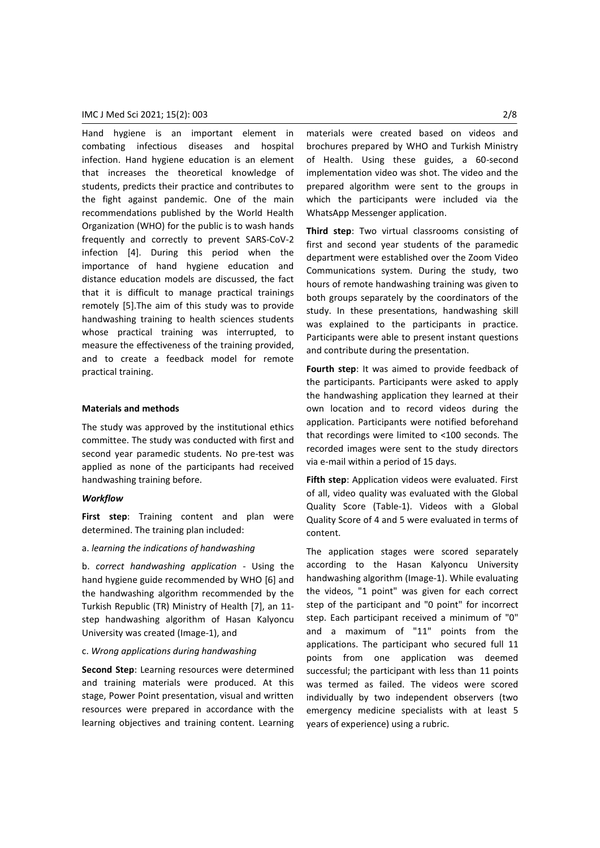Hand hygiene is an important element in combating infectious diseases and hospital infection. Hand hygiene education is an element that increases the theoretical knowledge of students, predicts their practice and contributes to the fight against pandemic. One of the main recommendations published by the World Health Organization (WHO) for the public is to wash hands frequently and correctly to prevent SARS-CoV-2 infection [4]. During this period when the importance of hand hygiene education and distance education models are discussed, the fact that it is difficult to manage practical trainings remotely [5].The aim of this study was to provide handwashing training to health sciences students whose practical training was interrupted, to measure the effectiveness of the training provided, and to create a feedback model for remote practical training.

#### **Materials and methods**

The study was approved by the institutional ethics committee. The study was conducted with first and second year paramedic students. No pre-test was applied as none of the participants had received handwashing training before.

#### *Workflow*

**First step**: Training content and plan were determined. The training plan included:

## a. *learning the indications of handwashing*

b. *correct handwashing application* - Using the hand hygiene guide recommended by WHO [6] and the handwashing algorithm recommended by the Turkish Republic (TR) Ministry of Health [7], an 11 step handwashing algorithm of Hasan Kalyoncu University was created (Image-1), and

#### c. *Wrong applications during handwashing*

**Second Step**: Learning resources were determined and training materials were produced. At this stage, Power Point presentation, visual and written resources were prepared in accordance with the learning objectives and training content. Learning materials were created based on videos and brochures prepared by WHO and Turkish Ministry of Health. Using these guides, a 60-second implementation video was shot. The video and the prepared algorithm were sent to the groups in which the participants were included via the WhatsApp Messenger application.

**Third step**: Two virtual classrooms consisting of first and second year students of the paramedic department were established over the Zoom Video Communications system. During the study, two hours of remote handwashing training was given to both groups separately by the coordinators of the study. In these presentations, handwashing skill was explained to the participants in practice. Participants were able to present instant questions and contribute during the presentation.

**Fourth step**: It was aimed to provide feedback of the participants. Participants were asked to apply the handwashing application they learned at their own location and to record videos during the application. Participants were notified beforehand that recordings were limited to <100 seconds. The recorded images were sent to the study directors via e-mail within a period of 15 days.

**Fifth step**: Application videos were evaluated. First of all, video quality was evaluated with the Global Quality Score (Table-1). Videos with a Global Quality Score of 4 and 5 were evaluated in terms of content.

The application stages were scored separately according to the Hasan Kalyoncu University handwashing algorithm (Image-1). While evaluating the videos, "1 point" was given for each correct step of the participant and "0 point" for incorrect step. Each participant received a minimum of "0" and a maximum of "11" points from the applications. The participant who secured full 11 points from one application was deemed successful; the participant with less than 11 points was termed as failed. The videos were scored individually by two independent observers (two emergency medicine specialists with at least 5 years of experience) using a rubric.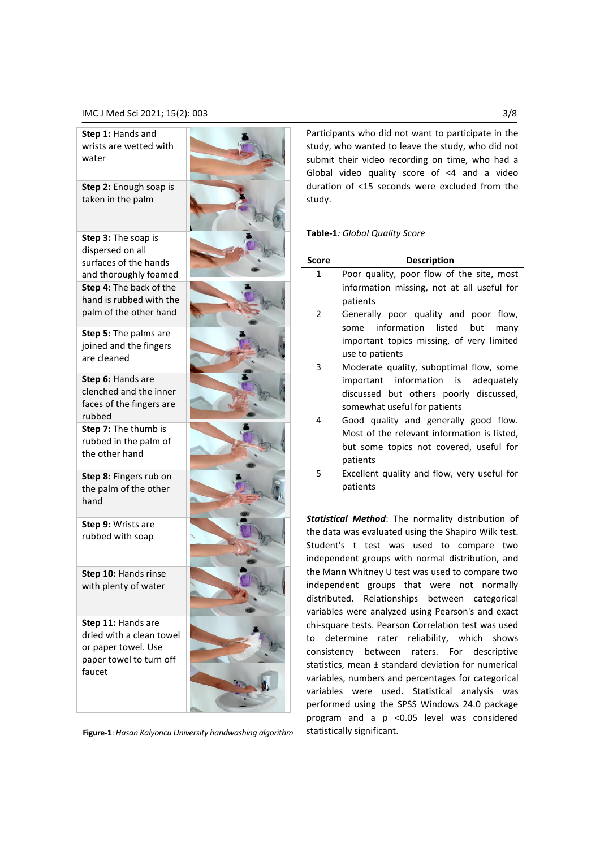## IMC J Med Sci 2021; 15(2): 003 3/8

**Step 1:** Hands and wrists are wetted with water

**Step 2:** Enough soap is taken in the palm

**Step 3:** The soap is dispersed on all surfaces of the hands and thoroughly foamed **Step 4:** The back of the hand is rubbed with the palm of the other hand

**Step 5:** The palms are joined and the fingers are cleaned

**Step 6:** Hands are clenched and the inner faces of the fingers are rubbed

**Step 7:** The thumb is rubbed in the palm of the other hand

**Step 8:** Fingers rub on the palm of the other hand

**Step 9:** Wrists are rubbed with soap

**Step 10:** Hands rinse with plenty of water

**Step 11:** Hands are dried with a clean towel or paper towel. Use paper towel to turn off faucet



**Figure-1**: *Hasan Kalyoncu University handwashing algorithm*

Participants who did not want to participate in the study, who wanted to leave the study, who did not submit their video recording on time, who had a Global video quality score of <4 and a video duration of <15 seconds were excluded from the study.

### **Table-1***: Global Quality Score*

| Score                                               | <b>Description</b>                           |  |  |  |
|-----------------------------------------------------|----------------------------------------------|--|--|--|
| 1                                                   | Poor quality, poor flow of the site, most    |  |  |  |
|                                                     | information missing, not at all useful for   |  |  |  |
|                                                     | patients                                     |  |  |  |
| 2                                                   | Generally poor quality and poor flow,        |  |  |  |
|                                                     | information<br>listed<br>but<br>some<br>many |  |  |  |
|                                                     | important topics missing, of very limited    |  |  |  |
| 3                                                   | use to patients                              |  |  |  |
|                                                     | Moderate quality, suboptimal flow, some      |  |  |  |
|                                                     | important information is adequately          |  |  |  |
| 4                                                   | discussed but others poorly discussed,       |  |  |  |
|                                                     | somewhat useful for patients                 |  |  |  |
|                                                     | Good quality and generally good flow.        |  |  |  |
|                                                     | Most of the relevant information is listed,  |  |  |  |
|                                                     | but some topics not covered, useful for      |  |  |  |
| 5                                                   | patients                                     |  |  |  |
|                                                     | Excellent quality and flow, very useful for  |  |  |  |
|                                                     | patients                                     |  |  |  |
|                                                     |                                              |  |  |  |
| Statistical Method: The normality distribution of   |                                              |  |  |  |
| the data was evaluated using the Shapiro Wilk test. |                                              |  |  |  |
| Student's t test was used to compare two            |                                              |  |  |  |

ent's t test was used to independent groups with normal distribution, and the Mann Whitney U test was used to compare two independent groups that were not normally distributed. Relationships between categorical variables were analyzed using Pearson's and exact chi-square tests. Pearson Correlation test was used to determine rater reliability, which shows consistency between raters. For descriptive statistics, mean ± standard deviation for numerical variables, numbers and percentages for categorical variables were used. Statistical analysis was performed using the SPSS Windows 24.0 package program and a p <0.05 level was considered statistically significant.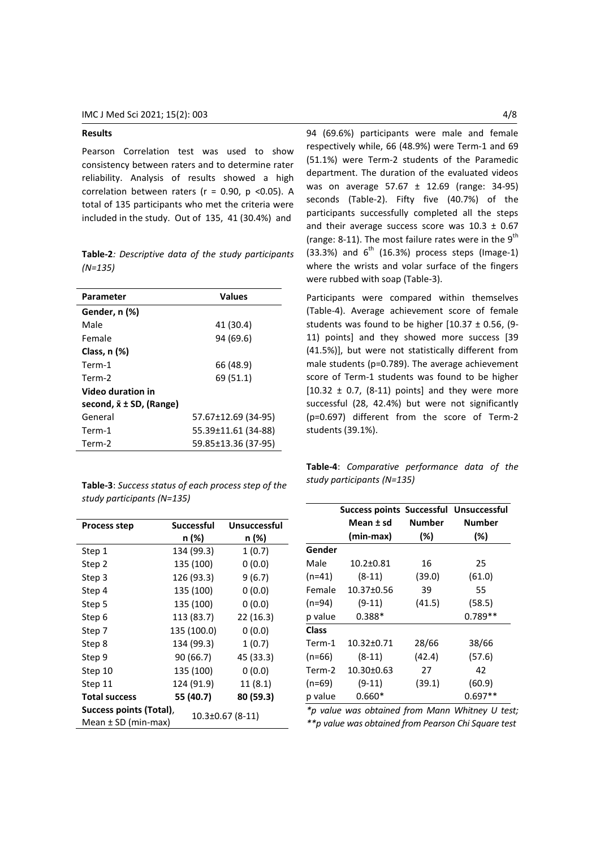## **Results**

Pearson Correlation test was used to show consistency between raters and to determine rater reliability. Analysis of results showed a high correlation between raters ( $r = 0.90$ ,  $p < 0.05$ ). A total of 135 participants who met the criteria were included in the study. Out of 135, 41 (30.4%) and

**Table-2***: Descriptive data of the study participants (N=135)*

| Parameter                          | <b>Values</b>       |  |
|------------------------------------|---------------------|--|
| Gender, n (%)                      |                     |  |
| Male                               | 41 (30.4)           |  |
| Female                             | 94 (69.6)           |  |
| Class, $n$ $(\%)$                  |                     |  |
| Term-1                             | 66 (48.9)           |  |
| Term-2                             | 69 (51.1)           |  |
| Video duration in                  |                     |  |
| second, $\bar{x} \pm SD$ , (Range) |                     |  |
| General                            | 57.67±12.69 (34-95) |  |
| Term-1                             | 55.39±11.61 (34-88) |  |
| Term-2                             | 59.85±13.36 (37-95) |  |

**Table-3**: *Success status of each process step of the study participants (N=135)*

| <b>Process step</b>                                                          | <b>Successful</b> | Unsuccessful |  |
|------------------------------------------------------------------------------|-------------------|--------------|--|
|                                                                              | n (%)             | n (%)        |  |
| Step 1                                                                       | 134 (99.3)        | 1(0.7)       |  |
| Step 2                                                                       | 135 (100)         | 0(0.0)       |  |
| Step 3                                                                       | 126 (93.3)        | 9(6.7)       |  |
| Step 4                                                                       | 135 (100)         | 0(0.0)       |  |
| Step 5                                                                       | 135 (100)         | 0(0.0)       |  |
| Step 6                                                                       | 113 (83.7)        | 22(16.3)     |  |
| Step 7                                                                       | 135 (100.0)       | 0(0.0)       |  |
| Step 8                                                                       | 134 (99.3)        | 1(0.7)       |  |
| Step 9                                                                       | 90 (66.7)         | 45 (33.3)    |  |
| Step 10                                                                      | 135 (100)         | 0(0.0)       |  |
| Step 11                                                                      | 124 (91.9)        | 11(8.1)      |  |
| <b>Total success</b>                                                         | 55 (40.7)         | 80 (59.3)    |  |
| Success points (Total),<br>$10.3 \pm 0.67$ (8-11)<br>Mean $\pm$ SD (min-max) |                   |              |  |

94 (69.6%) participants were male and female respectively while, 66 (48.9%) were Term-1 and 69 (51.1%) were Term-2 students of the Paramedic department. The duration of the evaluated videos was on average 57.67 ± 12.69 (range: 34-95) seconds (Table-2). Fifty five (40.7%) of the participants successfully completed all the steps and their average success score was  $10.3 \pm 0.67$ (range: 8-11). The most failure rates were in the  $9<sup>th</sup>$  $(33.3%)$  and  $6<sup>th</sup>$  (16.3%) process steps (Image-1) where the wrists and volar surface of the fingers were rubbed with soap (Table-3).

Participants were compared within themselves (Table-4). Average achievement score of female students was found to be higher  $[10.37 \pm 0.56, (9$ -11) points] and they showed more success [39 (41.5%)], but were not statistically different from male students (p=0.789). The average achievement score of Term-1 students was found to be higher  $[10.32 \pm 0.7, (8-11)$  points] and they were more successful (28, 42.4%) but were not significantly (p=0.697) different from the score of Term-2 students (39.1%).

**Table-4**: *Comparative performance data of the study participants (N=135)*

|          | Success points Successful Unsuccessful |        |               |
|----------|----------------------------------------|--------|---------------|
|          | Mean ± sd                              | Number | <b>Number</b> |
|          | (min-max)                              | $(\%)$ | $(\%)$        |
| Gender   |                                        |        |               |
| Male     | $10.2 \pm 0.81$                        | 16     | 25            |
| $(n=41)$ | $(8-11)$                               | (39.0) | (61.0)        |
| Female   | 10.37±0.56                             | 39     | 55            |
| $(n=94)$ | $(9-11)$                               | (41.5) | (58.5)        |
| p value  | $0.388*$                               |        | $0.789**$     |
| Class    |                                        |        |               |
| Term-1   | 10.32±0.71                             | 28/66  | 38/66         |
| $(n=66)$ | $(8-11)$                               | (42.4) | (57.6)        |
| Term-2   | $10.30 \pm 0.63$                       | 27     | 42            |
| $(n=69)$ | $(9-11)$                               | (39.1) | (60.9)        |
| p value  | $0.660*$                               |        | $0.697**$     |

*\*p value was obtained from Mann Whitney U test; \*\*p value was obtained from Pearson Chi Square test*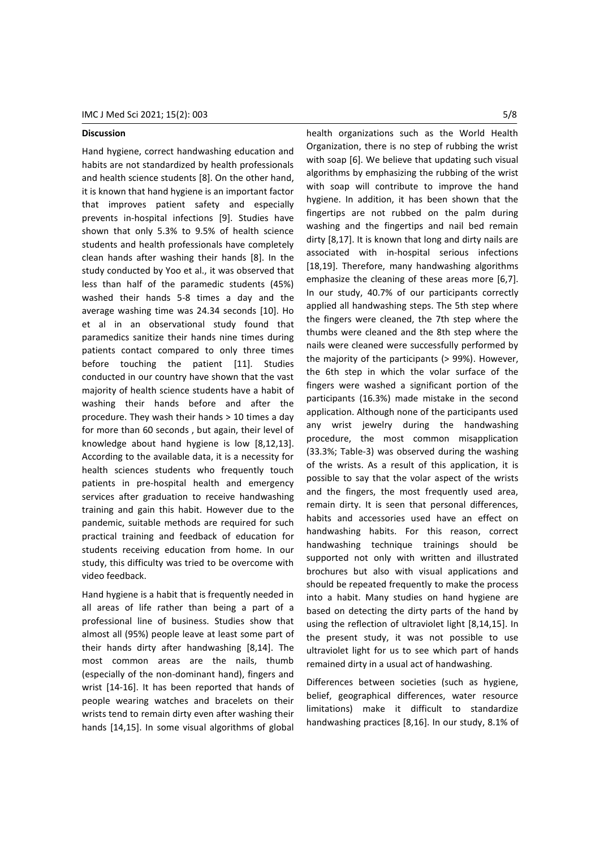## **Discussion**

Hand hygiene, correct handwashing education and habits are not standardized by health professionals and health science students [8]. On the other hand, it is known that hand hygiene is an important factor that improves patient safety and especially prevents in-hospital infections [9]. Studies have shown that only 5.3% to 9.5% of health science students and health professionals have completely clean hands after washing their hands [8]. In the study conducted by Yoo et al., it was observed that less than half of the paramedic students (45%) washed their hands 5-8 times a day and the average washing time was 24.34 seconds [10]. Ho et al in an observational study found that paramedics sanitize their hands nine times during patients contact compared to only three times before touching the patient [11]. Studies conducted in our country have shown that the vast majority of health science students have a habit of washing their hands before and after the procedure. They wash their hands > 10 times a day for more than 60 seconds , but again, their level of knowledge about hand hygiene is low [8,12,13]. According to the available data, it is a necessity for health sciences students who frequently touch patients in pre-hospital health and emergency services after graduation to receive handwashing training and gain this habit. However due to the pandemic, suitable methods are required for such practical training and feedback of education for students receiving education from home. In our study, this difficulty was tried to be overcome with video feedback.

Hand hygiene is a habit that is frequently needed in all areas of life rather than being a part of a professional line of business. Studies show that almost all (95%) people leave at least some part of their hands dirty after handwashing [8,14]. The most common areas are the nails, thumb (especially of the non-dominant hand), fingers and wrist [14-16]. It has been reported that hands of people wearing watches and bracelets on their wrists tend to remain dirty even after washing their hands [14,15]. In some visual algorithms of global

health organizations such as the World Health Organization, there is no step of rubbing the wrist with soap [6]. We believe that updating such visual algorithms by emphasizing the rubbing of the wrist with soap will contribute to improve the hand hygiene. In addition, it has been shown that the fingertips are not rubbed on the palm during washing and the fingertips and nail bed remain dirty [8,17]. It is known that long and dirty nails are associated with in-hospital serious infections [18,19]. Therefore, many handwashing algorithms emphasize the cleaning of these areas more [6,7]. In our study, 40.7% of our participants correctly applied all handwashing steps. The 5th step where the fingers were cleaned, the 7th step where the thumbs were cleaned and the 8th step where the nails were cleaned were successfully performed by the majority of the participants (> 99%). However, the 6th step in which the volar surface of the fingers were washed a significant portion of the participants (16.3%) made mistake in the second application. Although none of the participants used any wrist jewelry during the handwashing procedure, the most common misapplication (33.3%; Table-3) was observed during the washing of the wrists. As a result of this application, it is possible to say that the volar aspect of the wrists and the fingers, the most frequently used area, remain dirty. It is seen that personal differences, habits and accessories used have an effect on handwashing habits. For this reason, correct handwashing technique trainings should be supported not only with written and illustrated brochures but also with visual applications and should be repeated frequently to make the process into a habit. Many studies on hand hygiene are based on detecting the dirty parts of the hand by using the reflection of ultraviolet light [8,14,15]. In the present study, it was not possible to use ultraviolet light for us to see which part of hands

Differences between societies (such as hygiene, belief, geographical differences, water resource limitations) make it difficult to standardize handwashing practices [8,16]. In our study, 8.1% of

remained dirty in a usual act of handwashing.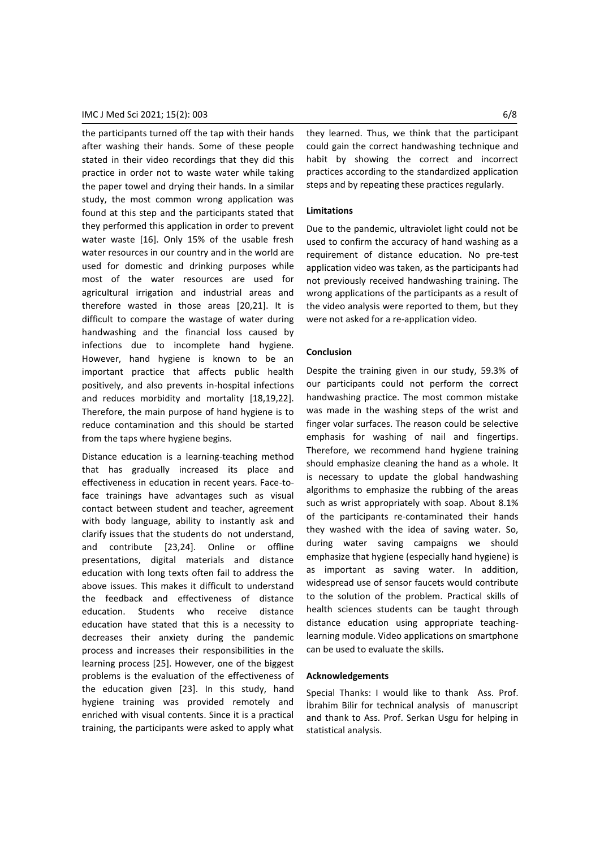## IMC J Med Sci 2021; 15(2): 003 6/8

the participants turned off the tap with their hands after washing their hands. Some of these people stated in their video recordings that they did this practice in order not to waste water while taking the paper towel and drying their hands. In a similar study, the most common wrong application was found at this step and the participants stated that they performed this application in order to prevent water waste [16]. Only 15% of the usable fresh water resources in our country and in the world are used for domestic and drinking purposes while most of the water resources are used for agricultural irrigation and industrial areas and therefore wasted in those areas [20,21]. It is difficult to compare the wastage of water during handwashing and the financial loss caused by infections due to incomplete hand hygiene. However, hand hygiene is known to be an important practice that affects public health positively, and also prevents in-hospital infections and reduces morbidity and mortality [18,19,22]. Therefore, the main purpose of hand hygiene is to reduce contamination and this should be started from the taps where hygiene begins.

Distance education is a learning-teaching method that has gradually increased its place and effectiveness in education in recent years. Face-toface trainings have advantages such as visual contact between student and teacher, agreement with body language, ability to instantly ask and clarify issues that the students do not understand, and contribute [23,24]. Online or offline presentations, digital materials and distance education with long texts often fail to address the above issues. This makes it difficult to understand the feedback and effectiveness of distance education. Students who receive distance education have stated that this is a necessity to decreases their anxiety during the pandemic process and increases their responsibilities in the learning process [25]. However, one of the biggest problems is the evaluation of the effectiveness of the education given [23]. In this study, hand hygiene training was provided remotely and enriched with visual contents. Since it is a practical training, the participants were asked to apply what they learned. Thus, we think that the participant could gain the correct handwashing technique and habit by showing the correct and incorrect practices according to the standardized application steps and by repeating these practices regularly.

#### **Limitations**

Due to the pandemic, ultraviolet light could not be used to confirm the accuracy of hand washing as a requirement of distance education. No pre-test application video was taken, as the participants had not previously received handwashing training. The wrong applications of the participants as a result of the video analysis were reported to them, but they were not asked for a re-application video.

#### **Conclusion**

Despite the training given in our study, 59.3% of our participants could not perform the correct handwashing practice. The most common mistake was made in the washing steps of the wrist and finger volar surfaces. The reason could be selective emphasis for washing of nail and fingertips. Therefore, we recommend hand hygiene training should emphasize cleaning the hand as a whole. It is necessary to update the global handwashing algorithms to emphasize the rubbing of the areas such as wrist appropriately with soap. About 8.1% of the participants re-contaminated their hands they washed with the idea of saving water. So, during water saving campaigns we should emphasize that hygiene (especially hand hygiene) is as important as saving water. In addition, widespread use of sensor faucets would contribute to the solution of the problem. Practical skills of health sciences students can be taught through distance education using appropriate teachinglearning module. Video applications on smartphone can be used to evaluate the skills.

#### **Acknowledgements**

Special Thanks: I would like to thank Ass. Prof. İbrahim Bilir for technical analysis of manuscript and thank to Ass. Prof. Serkan Usgu for helping in statistical analysis.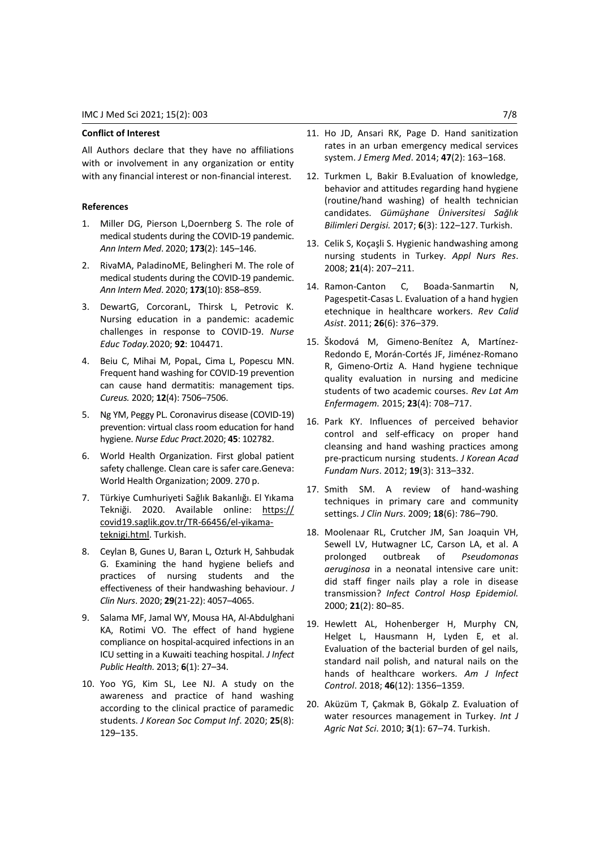## **Conflict of Interest**

All Authors declare that they have no affiliations with or involvement in any organization or entity with any financial interest or non-financial interest.

#### **References**

- 1. Miller DG, Pierson L,Doernberg S. The role of medical students during the COVID-19 pandemic. *Ann Intern Med*. 2020; **173**(2): 145–146.
- 2. RivaMA, PaladinoME, Belingheri M. The role of medical students during the COVID-19 pandemic. *Ann Intern Med*. 2020; **173**(10): 858–859.
- 3. DewartG, CorcoranL, Thirsk L, Petrovic K. Nursing education in a pandemic: academic challenges in response to COVID-19. *Nurse Educ Today.*2020; **92**: 104471.
- 4. Beiu C, Mihai M, PopaL, Cima L, Popescu MN. Frequent hand washing for COVID-19 prevention can cause hand dermatitis: management tips. *Cureus.* 2020; **12**(4): 7506–7506.
- 5. Ng YM, Peggy PL. Coronavirus disease (COVID-19) prevention: virtual class room education for hand hygiene. *Nurse Educ Pract.*2020; **45**: 102782.
- 6. World Health Organization. First global patient safety challenge. Clean care is safer care.Geneva: World Health Organization; 2009. 270 p.
- 7. Türkiye Cumhuriyeti Sağlık Bakanlığı. El Yıkama Tekniği. 2020. Available online: https:// covid19.saglik.gov.tr/TR-66456/el-yikamateknigi.html. Turkish.
- 8. Ceylan B, Gunes U, Baran L, Ozturk H, Sahbudak G. Examining the hand hygiene beliefs and practices of nursing students and the effectiveness of their handwashing behaviour. *J Clin Nurs*. 2020; **29**(21-22): 4057–4065.
- 9. Salama MF, Jamal WY, Mousa HA, Al-Abdulghani KA, Rotimi VO. The effect of hand hygiene compliance on hospital-acquired infections in an ICU setting in a Kuwaiti teaching hospital. *J Infect Public Health.* 2013; **6**(1): 27–34.
- 10. Yoo YG, Kim SL, Lee NJ. A study on the awareness and practice of hand washing according to the clinical practice of paramedic students. *J Korean Soc Comput Inf*. 2020; **25**(8): 129–135.
- 11. Ho JD, Ansari RK, Page D. Hand sanitization rates in an urban emergency medical services system. *J Emerg Med*. 2014; **47**(2): 163–168.
- 12. Turkmen L, Bakir B.Evaluation of knowledge, behavior and attitudes regarding hand hygiene (routine/hand washing) of health technician candidates. *Gümüşhane Üniversitesi Sağlık Bilimleri Dergisi.* 2017; **6**(3): 122–127. Turkish.
- 13. Celik S, Koçaşli S. Hygienic handwashing among nursing students in Turkey. *Appl Nurs Res*. 2008; **21**(4): 207–211.
- 14. Ramon-Canton C, Boada-Sanmartin N, Pagespetit‐Casas L. Evaluation of a hand hygien etechnique in healthcare workers. *Rev Calid Asist*. 2011; **26**(6): 376–379.
- 15. Škodová M, Gimeno‐Benítez A, Martínez‐ Redondo E, Morán‐Cortés JF, Jiménez‐Romano R, Gimeno‐Ortiz A. Hand hygiene technique quality evaluation in nursing and medicine students of two academic courses. *Rev Lat Am Enfermagem.* 2015; **23**(4): 708–717.
- 16. Park KY. Influences of perceived behavior control and self-efficacy on proper hand cleansing and hand washing practices among pre-practicum nursing students. *J Korean Acad Fundam Nurs*. 2012; **19**(3): 313–332.
- 17. Smith SM. A review of hand-washing techniques in primary care and community settings. *J Clin Nurs*. 2009; **18**(6): 786–790.
- 18. Moolenaar RL, Crutcher JM, San Joaquin VH, Sewell LV, Hutwagner LC, Carson LA, et al. A prolonged outbreak of *Pseudomonas aeruginosa* in a neonatal intensive care unit: did staff finger nails play a role in disease transmission? *Infect Control Hosp Epidemiol.* 2000; **21**(2): 80–85.
- 19. Hewlett AL, Hohenberger H, Murphy CN, Helget L, Hausmann H, Lyden E, et al. Evaluation of the bacterial burden of gel nails, standard nail polish, and natural nails on the hands of healthcare workers. *Am J Infect Control*. 2018; **46**(12): 1356–1359.
- 20. Aküzüm T, Çakmak B, Gökalp Z. Evaluation of water resources management in Turkey. *Int J Agric Nat Sci*. 2010; **3**(1): 67–74. Turkish.